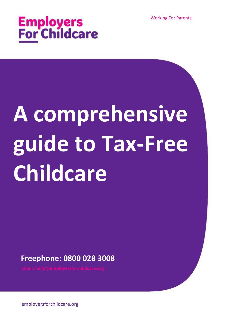Working For Parents



# **A comprehensive guide to Tax-Free Childcare**

**Freephone: 0800 028 3008**

employersforchildcare.org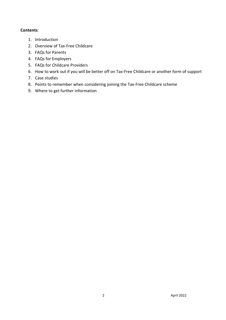#### **Contents**:

- 1. Introduction
- 2. Overview of Tax-Free Childcare
- 3. FAQs for Parents
- 4. FAQs for Employers
- 5. FAQs for Childcare Providers
- 6. How to work out if you will be better off on Tax-Free Childcare or another form of support
- 7. Case studies
- 8. Points to remember when considering joining the Tax-Free Childcare scheme
- 9. Where to get further information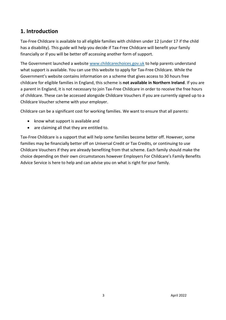## **1. Introduction**

Tax-Free Childcare is available to all eligible families with children under 12 (under 17 if the child has a disability). This guide will help you decide if Tax-Free Childcare will benefit your family financially or if you will be better off accessing another form of support.

The Government launched a website [www.childcarechoices.gov.uk](http://www.childcarechoices.gov.uk/) to help parents understand what support is available. You can use this website to apply for Tax-Free Childcare. While the Government's website contains information on a scheme that gives access to 30 hours free childcare for eligible families in England, this scheme is **not available in Northern Ireland**. If you are a parent in England, it is not necessary to join Tax-Free Childcare in order to receive the free hours of childcare. These can be accessed alongside Childcare Vouchers if you are currently signed up to a Childcare Voucher scheme with your employer.

Childcare can be a significant cost for working families. We want to ensure that all parents:

- know what support is available and
- are claiming all that they are entitled to.

Tax-Free Childcare is a support that will help some families become better off. However, some families may be financially better off on Universal Credit or Tax Credits, or continuing to use Childcare Vouchers if they are already benefiting from that scheme. Each family should make the choice depending on their own circumstances however Employers For Childcare's Family Benefits Advice Service is here to help and can advise you on what is right for your family.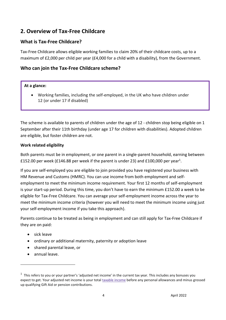## **2. Overview of Tax-Free Childcare**

## **What is Tax-Free Childcare?**

Tax-Free Childcare allows eligible working families to claim 20% of their childcare costs, up to a maximum of £2,000 per child per year (£4,000 for a child with a disability), from the Government.

### **Who can join the Tax-Free Childcare scheme?**

#### **At a glance:**

• Working families, including the self-employed, in the UK who have children under 12 (or under 17 if disabled)

The scheme is available to parents of children under the age of 12 - children stop being eligible on 1 September after their 11th birthday (under age 17 for children with disabilities). Adopted children are eligible, but foster children are not.

#### **Work related eligibility**

Both parents must be in employment, or one parent in a single-parent household, earning between £152.00 per week (£146.88 per week if the parent is under 23) and £100,000 per year<sup>1</sup>.

If you are self-employed you are eligible to join provided you have registered your business with HM Revenue and Customs (HMRC). You can use income from both employment and selfemployment to meet the minimum income requirement. Your first 12 months of self-employment is your start-up period. During this time, you don't have to earn the minimum £152.00 a week to be eligible for Tax-Free Childcare. You can average your self-employment income across the year to meet the minimum income criteria (however you will need to meet the minimum income using just your self-employment income if you take this approach).

Parents continue to be treated as being in employment and can still apply for Tax-Free Childcare if they are on paid:

- sick leave
- ordinary or additional maternity, paternity or adoption leave
- shared parental leave, or
- annual leave.

 $<sup>1</sup>$  This refers to you or your partner's 'adjusted net income' in the current tax year. This includes any bonuses you</sup> expect to get. Your adjusted net [income](https://www.gov.uk/guidance/adjusted-net-income) is your total taxable income before any personal allowances and minus grossed up qualifying Gift Aid or pension contributions.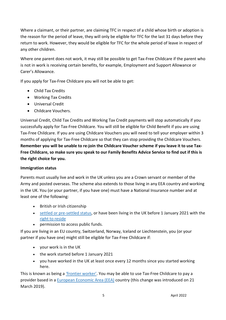Where a claimant, or their partner, are claiming TFC in respect of a child whose birth or adoption is the reason for the period of leave, they will only be eligible for TFC for the last 31 days before they return to work. However, they would be eligible for TFC for the whole period of leave in respect of any other children.

Where one parent does not work, it may still be possible to get Tax-Free Childcare if the parent who is not in work is receiving certain benefits, for example, Employment and Support Allowance or Carer's Allowance.

If you apply for Tax-Free Childcare you will not be able to get:

- Child Tax Credits
- Working Tax Credits
- Universal Credit
- Childcare Vouchers.

Universal Credit, Child Tax Credits and Working Tax Credit payments will stop automatically if you successfully apply for Tax-Free Childcare. You will still be eligible for Child Benefit if you are using Tax-Free Childcare. If you are using Childcare Vouchers you will need to tell your employer within 3 months of applying for Tax-Free Childcare so that they can stop providing the Childcare Vouchers. **Remember you will be unable to re-join the Childcare Voucher scheme if you leave it to use Tax-Free Childcare, so make sure you speak to our Family Benefits Advice Service to find out if this is the right choice for you.**

#### **Immigration status**

Parents must usually live and work in the UK unless you are a Crown servant or member of the Army and posted overseas. The scheme also extends to those living in any EEA country and working in the UK. You (or your partner, if you have one) must have a National Insurance number and at least one of the following:

- British or Irish citizenship
- settled or [pre-settled](https://www.gov.uk/settled-status-eu-citizens-families) status, or have been living in the UK before 1 January 2021 with the right to [reside](https://www.gov.uk/right-to-reside)
- permission to access public funds.

If you are living in an EU country, Switzerland, Norway, Iceland or Liechtenstein, you (or your partner if you have one) might still be eligible for Tax-Free Childcare if:

- your work is in the UK
- the work started before 1 January 2021
- you have worked in the UK at least once every 12 months since you started working here.

This is known as being a *['frontier](https://www.gov.uk/frontier-worker-permit) worker'*. You may be able to use Tax-Free Childcare to pay a provider based in a **European [Economic](https://www.gov.uk/eu-eea) Area (EEA)** country (this change was introduced on 21 March 2019).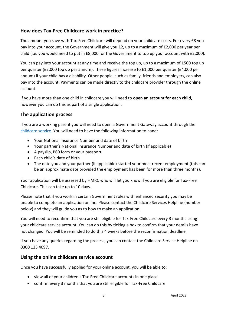## **How does Tax-Free Childcare work in practice?**

The amount you save with Tax-Free Childcare will depend on your childcare costs. For every £8 you pay into your account, the Government will give you £2, up to a maximum of £2,000 per year per child (i.e. you would need to put in £8,000 for the Government to top up your account with £2,000).

You can pay into your account at any time and receive the top up, up to a maximum of £500 top up per quarter (£2,000 top up per annum). These figures increase to £1,000 per quarter (£4,000 per annum) if your child has a disability. Other people, such as family, friends and employers, can also pay into the account. Payments can be made directly to the childcare provider through the online account.

If you have more than one child in childcare you will need to **open an account for each child,**  however you can do this as part of a single application.

## **The application process**

If you are a working parent you will need to open a Government Gateway account through the [childcare service.](https://childcare-support.tax.service.gov.uk/) You will need to have the following information to hand:

- Your National Insurance Number and date of birth
- Your partner's National Insurance Number and date of birth (if applicable)
- A payslip, P60 form or your passport
- Each child's date of birth
- The date you and your partner (if applicable) started your most recent employment (this can be an approximate date provided the employment has been for more than three months).

Your application will be assessed by HMRC who will let you know if you are eligible for Tax-Free Childcare. This can take up to 10 days.

Please note that if you work in certain Government roles with enhanced security you may be unable to complete an application online. Please contact the Childcare Services Helpline (number below) and they will guide you as to how to make an application.

You will need to reconfirm that you are still eligible for Tax-Free Childcare every 3 months using your childcare service account. You can do this by ticking a box to confirm that your details have not changed. You will be reminded to do this 4 weeks before the reconfirmation deadline.

If you have any queries regarding the process, you can contact the Childcare Service Helpline on 0300 123 4097.

#### **Using the online childcare service account**

Once you have successfully applied for your online account, you will be able to:

- view all of your children's Tax-Free Childcare accounts in one place
- confirm every 3 months that you are still eligible for Tax-Free Childcare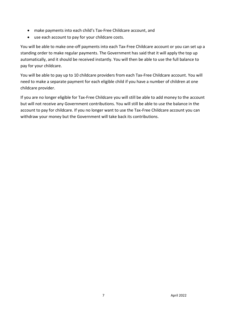- make payments into each child's Tax-Free Childcare account, and
- use each account to pay for your childcare costs.

You will be able to make one-off payments into each Tax-Free Childcare account or you can set up a standing order to make regular payments. The Government has said that it will apply the top up automatically, and it should be received instantly. You will then be able to use the full balance to pay for your childcare.

You will be able to pay up to 10 childcare providers from each Tax-Free Childcare account. You will need to make a separate payment for each eligible child if you have a number of children at one childcare provider.

If you are no longer eligible for Tax-Free Childcare you will still be able to add money to the account but will not receive any Government contributions. You will still be able to use the balance in the account to pay for childcare. If you no longer want to use the Tax-Free Childcare account you can withdraw your money but the Government will take back its contributions.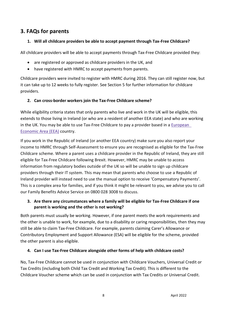## **3. FAQs for parents**

#### **1. Will all childcare providers be able to accept payment through Tax-Free Childcare?**

All childcare providers will be able to accept payments through Tax-Free Childcare provided they:

- are registered or approved as childcare providers in the UK, and
- have registered with HMRC to accept payments from parents.

Childcare providers were invited to register with HMRC during 2016. They can still register now, but it can take up to 12 weeks to fully register. See Section 5 for further information for childcare providers.

#### **2. Can cross-border workers join the Tax-Free Childcare scheme?**

While eligibility criteria states that only parents who live and work in the UK will be eligible, this extends to those living in Ireland (or who are a resident of another EEA state) and who are working in the UK. You may be able to use Tax-Free Childcare to pay a provider based in a  $European$ [Economic](https://www.gov.uk/eu-eea) Area (EEA) country.

If you work in the Republic of Ireland (or another EEA country) make sure you also report your income to HMRC through Self-Assessment to ensure you are recognised as eligible for the Tax-Free Childcare scheme. Where a parent uses a childcare provider in the Republic of Ireland, they are still eligible for Tax-Free Childcare following Brexit. However, HMRC may be unable to access information from regulatory bodies outside of the UK so will be unable to sign up childcare providers through their IT system. This may mean that parents who choose to use a Republic of Ireland provider will instead need to use the manual option to receive 'Compensatory Payments'. This is a complex area for families, and if you think it might be relevant to you, we advise you to call our Family Benefits Advice Service on 0800 028 3008 to discuss.

#### **3. Are there any circumstances where a family will be eligible for Tax-Free Childcare if one parent is working and the other is not working?**

Both parents must usually be working. However, if one parent meets the work requirements and the other is unable to work, for example, due to a disability or caring responsibilities, then they may still be able to claim Tax-Free Childcare. For example, parents claiming Carer's Allowance or Contributory Employment and Support Allowance (ESA) will be eligible for the scheme, provided the other parent is also eligible.

#### **4. Can I use Tax-Free Childcare alongside other forms of help with childcare costs?**

No, Tax-Free Childcare cannot be used in conjunction with Childcare Vouchers, Universal Credit or Tax Credits (including both Child Tax Credit and Working Tax Credit). This is different to the Childcare Voucher scheme which can be used in conjunction with Tax Credits or Universal Credit.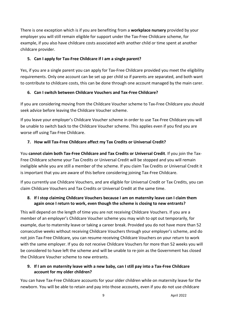There is one exception which is if you are benefiting from a **workplace nursery** provided by your employer you will still remain eligible for support under the Tax-Free Childcare scheme, for example, if you also have childcare costs associated with another child or time spent at another childcare provider.

#### **5. Can I apply for Tax-Free Childcare if I am a single parent?**

Yes, if you are a single parent you can apply for Tax-Free Childcare provided you meet the eligibility requirements. Only one account can be set up per child so if parents are separated, and both want to contribute to childcare costs, this can be done through one account managed by the main carer.

#### **6. Can I switch between Childcare Vouchers and Tax-Free Childcare?**

If you are considering moving from the Childcare Voucher scheme to Tax-Free Childcare you should seek advice before leaving the Childcare Voucher scheme.

If you leave your employer's Childcare Voucher scheme in order to use Tax-Free Childcare you will be unable to switch back to the Childcare Voucher scheme. This applies even if you find you are worse off using Tax-Free Childcare.

#### **7. How will Tax-Free Childcare affect my Tax Credits or Universal Credit?**

You **cannot claim both Tax-Free Childcare and Tax Credits or Universal Credit**. If you join the Tax-Free Childcare scheme your Tax Credits or Universal Credit will be stopped and you will remain ineligible while you are still a member of the scheme. If you claim Tax Credits or Universal Credit it is important that you are aware of this before considering joining Tax-Free Childcare.

If you currently use Childcare Vouchers, and are eligible for Universal Credit or Tax Credits, you can claim Childcare Vouchers and Tax Credits or Universal Credit at the same time.

#### **8. If I stop claiming Childcare Vouchers because I am on maternity leave can I claim them again once I return to work, even though the scheme is closing to new entrants?**

This will depend on the length of time you are not receiving Childcare Vouchers. If you are a member of an employer's Childcare Voucher scheme you may wish to opt out temporarily, for example, due to maternity leave or taking a career break. Provided you do not have more than 52 consecutive weeks without receiving Childcare Vouchers through your employer's scheme, and do not join Tax-Free Childcare, you can resume receiving Childcare Vouchers on your return to work with the same employer. If you do not receive Childcare Vouchers for more than 52 weeks you will be considered to have left the scheme and will be unable to re-join as the Government has closed the Childcare Voucher scheme to new entrants.

#### **9. If I am on maternity leave with a new baby, can I still pay into a Tax-Free Childcare account for my older children?**

You can have Tax-Free Childcare accounts for your older children while on maternity leave for the newborn. You will be able to retain and pay into those accounts, even if you do not use childcare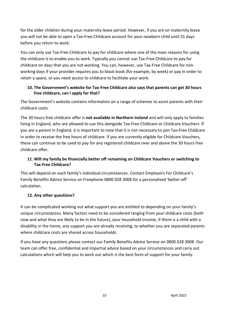for the older children during your maternity leave period. However, if you are on maternity leave you will not be able to open a Tax-Free Childcare account for your newborn child until 31 days before you return to work.

You can only use Tax-Free Childcare to pay for childcare where one of the main reasons for using the childcare is to enable you to work. Typically you cannot use Tax-Free Childcare to pay for childcare on days that you are not working. You can, however, use Tax-Free Childcare for nonworking days if your provider requires you to block book (for example, by week) or pay in order to retain a space, or you need access to childcare to facilitate your work.

#### **10. The Government's website for Tax-Free Childcare also says that parents can get 30 hours free childcare, can I apply for that?**

The Government's website contains information on a range of schemes to assist parents with their childcare costs.

The 30 hours free childcare offer is **not available in Northern Ireland** and will only apply to families living in England, who are allowed to use this alongside Tax-Free Childcare or Childcare Vouchers. If you are a parent in England, it is important to note that it is not necessary to join Tax-Free Childcare in order to receive the free hours of childcare. If you are currently eligible for Childcare Vouchers, these can continue to be used to pay for any registered childcare over and above the 30 hours free childcare offer.

## **11. Will my family be financially better off remaining on Childcare Vouchers or switching to Tax-Free Childcare?**

This will depend on each family's individual circumstances. Contact Employers For Childcare's Family Benefits Advice Service on Freephone 0800 028 3008 for a personalised 'better-off' calculation.

## **12. Any other questions?**

It can be complicated working out what support you are entitled to depending on your family's unique circumstances. Many factors need to be considered ranging from your childcare costs (both now and what they are likely to be in the future), your household income, if there is a child with a disability in the home, any support you are already receiving, to whether you are separated parents where childcare costs are shared across households.

If you have any questions please contact our Family Benefits Advice Service on 0800 028 3008. Our team can offer free, confidential and impartial advice based on your circumstances and carry out calculations which will help you to work out which is the best form of support for your family.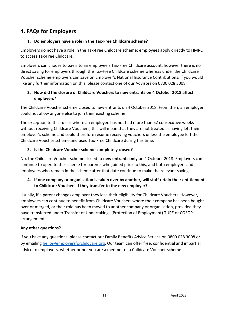## **4. FAQs for Employers**

#### **1. Do employers have a role in the Tax-Free Childcare scheme?**

Employers do not have a role in the Tax-Free Childcare scheme; employees apply directly to HMRC to access Tax-Free Childcare.

Employers can choose to pay into an employee's Tax-Free Childcare account, however there is no direct saving for employers through the Tax-Free Childcare scheme whereas under the Childcare Voucher scheme employers can save on Employer's National Insurance Contributions. If you would like any further information on this, please contact one of our Advisors on 0800 028 3008.

#### **2. How did the closure of Childcare Vouchers to new entrants on 4 October 2018 affect employers?**

The Childcare Voucher scheme closed to new entrants on 4 October 2018. From then, an employer could not allow anyone else to join their existing scheme.

The exception to this rule is where an employee has not had more than 52 consecutive weeks without receiving Childcare Vouchers; this will mean that they are not treated as having left their employer's scheme and could therefore resume receiving vouchers unless the employee left the Childcare Voucher scheme and used Tax-Free Childcare during this time.

#### **3. Is the Childcare Voucher scheme completely closed?**

No, the Childcare Voucher scheme closed to **new entrants only** on 4 October 2018. Employers can continue to operate the scheme for parents who joined prior to this, and both employers and employees who remain in the scheme after that date continue to make the relevant savings.

#### **4. If one company or organisation is taken over by another, will staff retain their entitlement to Childcare Vouchers if they transfer to the new employer?**

Usually, if a parent changes employer they lose their eligibility for Childcare Vouchers. However, employees can continue to benefit from Childcare Vouchers where their company has been bought over or merged, or their role has been moved to another company or organisation, provided they have transferred under Transfer of Undertakings (Protection of Employment) TUPE or COSOP arrangements.

#### **Any other questions?**

If you have any questions, please contact our Family Benefits Advice Service on 0800 028 3008 or by emailin[g hello@employersforchildcare.org.](mailto:hello@employersforchildcare.org) Our team can offer free, confidential and impartial advice to employers, whether or not you are a member of a Childcare Voucher scheme.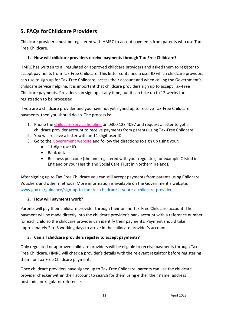# **5. FAQs forChildcare Providers**

Childcare providers must be registered with HMRC to accept payments from parents who use Tax-Free Childcare.

#### **1. How will childcare providers receive payments through Tax-Free Childcare?**

HMRC has written to all regulated or approved childcare providers and asked them to register to accept payments from Tax-Free Childcare. This letter contained a user ID which childcare providers can use to sign up for Tax-Free Childcare, access their account and when calling the Government's childcare service helpline. It is important that childcare providers sign up to accept Tax-Free Childcare payments. Providers can sign up at any time, but it can take up to 12 weeks for registration to be processed.

If you are a childcare provider and you have not yet signed up to receive Tax-Free Childcare payments, then you should do so. The process is:

- 1. Phone the [Childcare Service helpline](https://www.gov.uk/government/organisations/hm-revenue-customs/contact/childcare-service-helpline) on 0300 123 4097 and request a letter to get a childcare provider account to receive payments from parents using Tax-Free Childcare.
- 2. You will receive a letter with an 11-digit user ID.
- 3. Go to th[e Government website](https://www.gov.uk/guidance/sign-up-to-tax-free-childcare-if-youre-a-childcare-provider) and follow the directions to sign up using your:
	- 11-digit user ID
	- Bank details
	- Business postcode (the one registered with your regulator, for example Ofsted in England or your Health and Social Care Trust in Northern Ireland).

After signing up to Tax-Free Childcare you can still accept payments from parents using Childcare Vouchers and other methods. More information is available on the Government's website: [www.gov.uk/guidance/sign-up-to-tax-free-childcare-if-youre-a-childcare-provider](https://www.gov.uk/guidance/sign-up-to-tax-free-childcare-if-youre-a-childcare-provider)

#### **2. How will payments work?**

Parents will pay their childcare provider through their online Tax-Free Childcare account. The payment will be made directly into the childcare provider's bank account with a reference number for each child so the childcare provider can identify their payments. Payment should take approximately 2 to 3 working days to arrive in the childcare provider's account.

#### **3. Can all childcare providers register to accept payments?**

Only regulated or approved childcare providers will be eligible to receive payments through Tax-Free Childcare. HMRC will check a provider's details with the relevant regulator before registering them for Tax-Free Childcare payments.

Once childcare providers have signed up to Tax-Free Childcare, parents can use the childcare provider checker within their account to search for them using either their name, address, postcode, or regulator reference.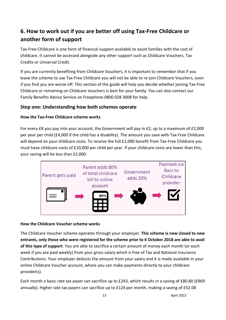# **6. How to work out if you are better off using Tax-Free Childcare or another form of support**

Tax-Free Childcare is one form of financial support available to assist families with the cost of childcare. It cannot be accessed alongside any other support such as Childcare Vouchers, Tax Credits or Universal Credit.

If you are currently benefiting from Childcare Vouchers, it is important to remember that if you leave the scheme to use Tax-Free Childcare you will not be able to re-join Childcare Vouchers, even if you find you are worse off. This section of the guide will help you decide whether joining Tax-Free Childcare or remaining on Childcare Vouchers is best for your family. You can also contact our Family Benefits Advice Service on Freephone 0800 028 3008 for help.

## **Step one: Understanding how both schemes operate**

#### **How the Tax-Free Childcare scheme works**

For every £8 you pay into your account, the Government will pay in £2, up to a maximum of £2,000 per year per child (£4,000 if the child has a disability). The amount you save with Tax-Free Childcare will depend on your childcare costs. To receive the full £2,000 benefit from Tax-Free Childcare you must have childcare costs of £10,000 per child per year. If your childcare costs are lower than this, your saving will be less than £2,000.



#### **How the Childcare Voucher scheme works**

The Childcare Voucher scheme operates through your employer. **This scheme is now closed to new entrants, only those who were registered for the scheme prior to 4 October 2018 are able to avail of this type of support**. You are able to sacrifice a certain amount of money each month (or each week if you are paid weekly) from your gross salary which is free of Tax and National Insurance Contributions. Your employer deducts the amount from your salary and it is made available in your online Childcare Voucher account, where you can make payments directly to your childcare provider(s).

Each month a basic rate tax payer can sacrifice up to £243, which results in a saving of £80.80 (£969 annually). Higher rate tax payers can sacrifice up to £124 per month, making a saving of £52.08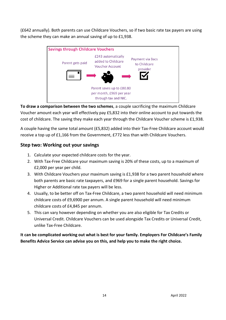(£642 annually). Both parents can use Childcare Vouchers, so if two basic rate tax payers are using the scheme they can make an annual saving of up to £1,938.



**To draw a comparison between the two schemes**, a couple sacrificing the maximum Childcare Voucher amount each year will effectively pay £5,832 into their online account to put towards the cost of childcare. The saving they make each year through the Childcare Voucher scheme is £1,938.

A couple having the same total amount (£5,832) added into their Tax-Free Childcare account would receive a top up of £1,166 from the Government, £772 less than with Childcare Vouchers.

## **Step two: Working out your savings**

- 1. Calculate your expected childcare costs for the year.
- 2. With Tax-Free Childcare your maximum saving is 20% of these costs, up to a maximum of £2,000 per year per child.
- 3. With Childcare Vouchers your maximum saving is £1,938 for a two parent household where both parents are basic rate taxpayers, and £969 for a single parent household. Savings for Higher or Additional rate tax payers will be less.
- 4. Usually, to be better off on Tax-Free Childcare, a two parent household will need minimum childcare costs of £9,6900 per annum. A single parent household will need minimum childcare costs of £4,845 per annum.
- 5. This can vary however depending on whether you are also eligible for Tax Credits or Universal Credit. Childcare Vouchers can be used alongside Tax Credits or Universal Credit, unlike Tax-Free Childcare.

**It can be complicated working out what is best for your family. Employers For Childcare's Family Benefits Advice Service can advise you on this, and help you to make the right choice.**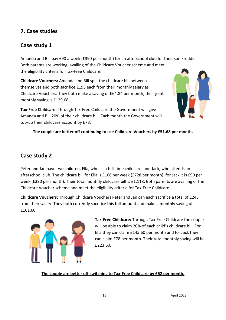## **7. Case studies**

## **Case study 1**

Amanda and Bill pay £90 a week (£390 per month) for an afterschool club for their son Freddie. Both parents are working, availing of the Childcare Voucher scheme and meet the eligibility criteria for Tax-Free Childcare.

**Childcare Vouchers:** Amanda and Bill split the childcare bill between themselves and both sacrifice £195 each from their monthly salary as Childcare Vouchers. They both make a saving of £64.84 per month, their joint monthly saving is £129.68.

**Tax-Free Childcare:** Through Tax-Free Childcare the Government will give Amanda and Bill 20% of their childcare bill. Each month the Government will top-up their childcare account by £78.



#### **The couple are better off continuing to use Childcare Vouchers by £51.68 per month.**

## **Case study 2**

Peter and Jan have two children, Ella, who is in full-time childcare, and Jack, who attends an afterschool club. The childcare bill for Ella is £168 per week (£728 per month), for Jack it is £90 per week (£390 per month). Their total monthly childcare bill is £1,118. Both parents are availing of the Childcare Voucher scheme and meet the eligibility criteria for Tax-Free Childcare.

**Childcare Vouchers:** Through Childcare Vouchers Peter and Jan can each sacrifice a total of £243 from their salary. They both currently sacrifice this full amount and make a monthly saving of £161.60.



**Tax-Free Childcare:** Through Tax-Free Childcare the couple will be able to claim 20% of each child's childcare bill. For Ella they can claim £145.60 per month and for Jack they can claim £78 per month. Their total monthly saving will be £223.60.

**The couple are better off switching to Tax-Free Childcare by £62 per month.**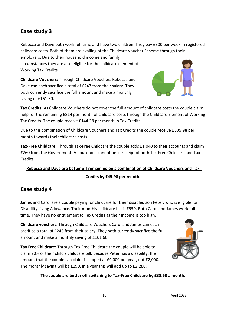# **Case study 3**

Rebecca and Dave both work full-time and have two children. They pay £300 per week in registered childcare costs. Both of them are availing of the Childcare Voucher Scheme through their

employers. Due to their household income and family circumstances they are also eligible for the childcare element of Working Tax Credits.

**Childcare Vouchers:** Through Childcare Vouchers Rebecca and Dave can each sacrifice a total of £243 from their salary. They both currently sacrifice the full amount and make a monthly saving of £161.60.



**Tax Credits:** As Childcare Vouchers do not cover the full amount of childcare costs the couple claim help for the remaining £814 per month of childcare costs through the Childcare Element of Working Tax Credits. The couple receive £144.38 per month in Tax Credits.

Due to this combination of Childcare Vouchers and Tax Credits the couple receive £305.98 per month towards their childcare costs.

**Tax-Free Childcare:** Through Tax-Free Childcare the couple adds £1,040 to their accounts and claim £260 from the Government. A household cannot be in receipt of both Tax-Free Childcare and Tax Credits.

# **Rebecca and Dave are better off remaining on a combination of Childcare Vouchers and Tax Credits by £45.98 per month.**

# **Case study 4**

James and Carol are a couple paying for childcare for their disabled son Peter, who is eligible for Disability Living Allowance. Their monthly childcare bill is £950. Both Carol and James work full time. They have no entitlement to Tax Credits as their income is too high.

**Childcare vouchers:** Through Childcare Vouchers Carol and James can each sacrifice a total of £243 from their salary. They both currently sacrifice the full amount and make a monthly saving of £161.60.

**Tax Free Childcare:** Through Tax Free Childcare the couple will be able to claim 20% of their child's childcare bill. Because Peter has a disability, the amount that the couple can claim is capped at £4,000 per year, not £2,000. The monthly saving will be £190. In a year this will add up to £2,280.



#### **The couple are better off switching to Tax-Free Childcare by £33.50 a month.**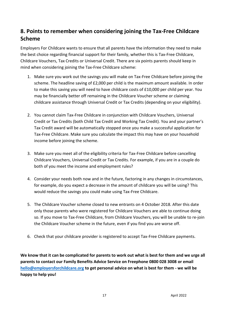# **8. Points to remember when considering joining the Tax-Free Childcare Scheme**

Employers For Childcare wants to ensure that all parents have the information they need to make the best choice regarding financial support for their family, whether this is Tax-Free Childcare, Childcare Vouchers, Tax Credits or Universal Credit. There are six points parents should keep in mind when considering joining the Tax-Free Childcare scheme:

- 1. Make sure you work out the savings you will make on Tax-Free Childcare before joining the scheme. The headline saving of £2,000 per child is the maximum amount available. In order to make this saving you will need to have childcare costs of £10,000 per child per year. You may be financially better off remaining in the Childcare Voucher scheme or claiming childcare assistance through Universal Credit or Tax Credits (depending on your eligibility).
- 2. You cannot claim Tax-Free Childcare in conjunction with Childcare Vouchers, Universal Credit or Tax Credits (both Child Tax Credit and Working Tax Credit). You and your partner's Tax Credit award will be automatically stopped once you make a successful application for Tax-Free Childcare. Make sure you calculate the impact this may have on your household income before joining the scheme.
- 3. Make sure you meet all of the eligibility criteria for Tax-Free Childcare before cancelling Childcare Vouchers, Universal Credit or Tax Credits. For example, if you are in a couple do both of you meet the income and employment rules?
- 4. Consider your needs both now and in the future, factoring in any changes in circumstances, for example, do you expect a decrease in the amount of childcare you will be using? This would reduce the savings you could make using Tax-Free Childcare.
- 5. The Childcare Voucher scheme closed to new entrants on 4 October 2018. After this date only those parents who were registered for Childcare Vouchers are able to continue doing so. If you move to Tax-Free Childcare, from Childcare Vouchers, you will be unable to re-join the Childcare Voucher scheme in the future, even if you find you are worse off.
- 6. Check that your childcare provider is registered to accept Tax-Free Childcare payments.

**We know that it can be complicated for parents to work out what is best for them and we urge all parents to contact our Family Benefits Advice Service on Freephone 0800 028 3008 or email [hello@employersforchildcare.org](mailto:hello@employersforchildcare.org) to get personal advice on what is best for them - we will be happy to help you!**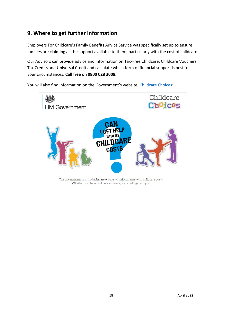# **9. Where to get further information**

Employers For Childcare's Family Benefits Advice Service was specifically set up to ensure families are claiming all the support available to them, particularly with the cost of childcare.

Our Advisors can provide advice and information on Tax-Free Childcare, Childcare Vouchers, Tax Credits and Universal Credit and calculate which form of financial support is best for your circumstances. **Call free on 0800 028 3008.**

You will also find information on the Government's website, [Childcare Choices:](http://www.childcarechoices.gov.uk/)